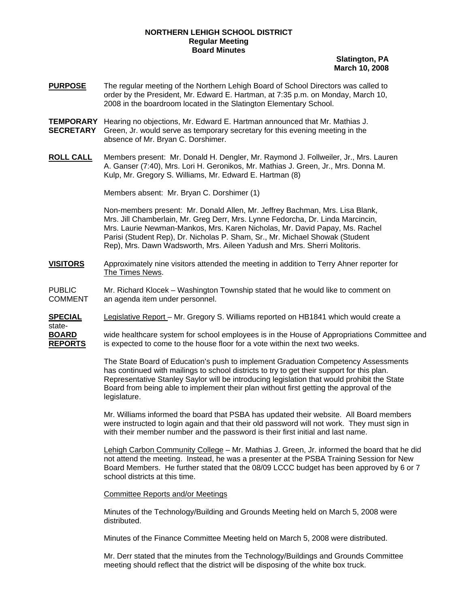## **NORTHERN LEHIGH SCHOOL DISTRICT Regular Meeting Board Minutes**

**Slatington, PA March 10, 2008**

- **PURPOSE** The regular meeting of the Northern Lehigh Board of School Directors was called to order by the President, Mr. Edward E. Hartman, at 7:35 p.m. on Monday, March 10, 2008 in the boardroom located in the Slatington Elementary School.
- **TEMPORARY** Hearing no objections, Mr. Edward E. Hartman announced that Mr. Mathias J. **SECRETARY** Green, Jr. would serve as temporary secretary for this evening meeting in the absence of Mr. Bryan C. Dorshimer.
- **ROLL CALL** Members present: Mr. Donald H. Dengler, Mr. Raymond J. Follweiler, Jr., Mrs. Lauren A. Ganser (7:40), Mrs. Lori H. Geronikos, Mr. Mathias J. Green, Jr., Mrs. Donna M. Kulp, Mr. Gregory S. Williams, Mr. Edward E. Hartman (8)

Members absent: Mr. Bryan C. Dorshimer (1)

Non-members present: Mr. Donald Allen, Mr. Jeffrey Bachman, Mrs. Lisa Blank, Mrs. Jill Chamberlain, Mr. Greg Derr, Mrs. Lynne Fedorcha, Dr. Linda Marcincin, Mrs. Laurie Newman-Mankos, Mrs. Karen Nicholas, Mr. David Papay, Ms. Rachel Parisi (Student Rep), Dr. Nicholas P. Sham, Sr., Mr. Michael Showak (Student Rep), Mrs. Dawn Wadsworth, Mrs. Aileen Yadush and Mrs. Sherri Molitoris.

**VISITORS** Approximately nine visitors attended the meeting in addition to Terry Ahner reporter for The Times News.

PUBLIC Mr. Richard Klocek – Washington Township stated that he would like to comment on COMMENT an agenda item under personnel.

**SPECIAL** Legislative Report – Mr. Gregory S. Williams reported on HB1841 which would create a

state-

**BOARD** wide healthcare system for school employees is in the House of Appropriations Committee and **REPORTS** is expected to come to the house floor for a vote within the next two weeks.

> The State Board of Education's push to implement Graduation Competency Assessments has continued with mailings to school districts to try to get their support for this plan. Representative Stanley Saylor will be introducing legislation that would prohibit the State Board from being able to implement their plan without first getting the approval of the legislature.

> Mr. Williams informed the board that PSBA has updated their website. All Board members were instructed to login again and that their old password will not work. They must sign in with their member number and the password is their first initial and last name.

 Lehigh Carbon Community College – Mr. Mathias J. Green, Jr. informed the board that he did not attend the meeting. Instead, he was a presenter at the PSBA Training Session for New Board Members. He further stated that the 08/09 LCCC budget has been approved by 6 or 7 school districts at this time.

Committee Reports and/or Meetings

Minutes of the Technology/Building and Grounds Meeting held on March 5, 2008 were distributed.

Minutes of the Finance Committee Meeting held on March 5, 2008 were distributed.

Mr. Derr stated that the minutes from the Technology/Buildings and Grounds Committee meeting should reflect that the district will be disposing of the white box truck.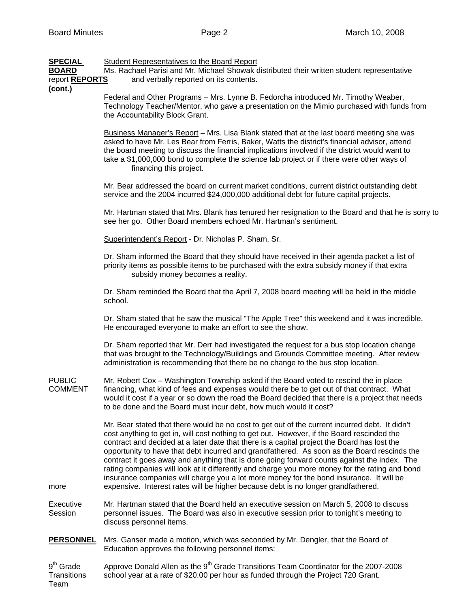| <b>SPECIAL</b><br><b>BOARD</b><br>report <b>REPORTS</b><br>(cont.) | <b>Student Representatives to the Board Report</b><br>Ms. Rachael Parisi and Mr. Michael Showak distributed their written student representative<br>and verbally reported on its contents.                                                                                                                                                                                                                                                                                                                                                                                                                                                                                                                                                                                  |
|--------------------------------------------------------------------|-----------------------------------------------------------------------------------------------------------------------------------------------------------------------------------------------------------------------------------------------------------------------------------------------------------------------------------------------------------------------------------------------------------------------------------------------------------------------------------------------------------------------------------------------------------------------------------------------------------------------------------------------------------------------------------------------------------------------------------------------------------------------------|
|                                                                    | Federal and Other Programs - Mrs. Lynne B. Fedorcha introduced Mr. Timothy Weaber,<br>Technology Teacher/Mentor, who gave a presentation on the Mimio purchased with funds from<br>the Accountability Block Grant.                                                                                                                                                                                                                                                                                                                                                                                                                                                                                                                                                          |
|                                                                    | Business Manager's Report - Mrs. Lisa Blank stated that at the last board meeting she was<br>asked to have Mr. Les Bear from Ferris, Baker, Watts the district's financial advisor, attend<br>the board meeting to discuss the financial implications involved if the district would want to<br>take a \$1,000,000 bond to complete the science lab project or if there were other ways of<br>financing this project.                                                                                                                                                                                                                                                                                                                                                       |
|                                                                    | Mr. Bear addressed the board on current market conditions, current district outstanding debt<br>service and the 2004 incurred \$24,000,000 additional debt for future capital projects.                                                                                                                                                                                                                                                                                                                                                                                                                                                                                                                                                                                     |
|                                                                    | Mr. Hartman stated that Mrs. Blank has tenured her resignation to the Board and that he is sorry to<br>see her go. Other Board members echoed Mr. Hartman's sentiment.                                                                                                                                                                                                                                                                                                                                                                                                                                                                                                                                                                                                      |
|                                                                    | Superintendent's Report - Dr. Nicholas P. Sham, Sr.                                                                                                                                                                                                                                                                                                                                                                                                                                                                                                                                                                                                                                                                                                                         |
|                                                                    | Dr. Sham informed the Board that they should have received in their agenda packet a list of<br>priority items as possible items to be purchased with the extra subsidy money if that extra<br>subsidy money becomes a reality.                                                                                                                                                                                                                                                                                                                                                                                                                                                                                                                                              |
|                                                                    | Dr. Sham reminded the Board that the April 7, 2008 board meeting will be held in the middle<br>school.                                                                                                                                                                                                                                                                                                                                                                                                                                                                                                                                                                                                                                                                      |
|                                                                    | Dr. Sham stated that he saw the musical "The Apple Tree" this weekend and it was incredible.<br>He encouraged everyone to make an effort to see the show.                                                                                                                                                                                                                                                                                                                                                                                                                                                                                                                                                                                                                   |
|                                                                    | Dr. Sham reported that Mr. Derr had investigated the request for a bus stop location change<br>that was brought to the Technology/Buildings and Grounds Committee meeting. After review<br>administration is recommending that there be no change to the bus stop location.                                                                                                                                                                                                                                                                                                                                                                                                                                                                                                 |
| <b>PUBLIC</b><br><b>COMMENT</b>                                    | Mr. Robert Cox - Washington Township asked if the Board voted to rescind the in place<br>financing, what kind of fees and expenses would there be to get out of that contract. What<br>would it cost if a year or so down the road the Board decided that there is a project that needs<br>to be done and the Board must incur debt, how much would it cost?                                                                                                                                                                                                                                                                                                                                                                                                                |
| more                                                               | Mr. Bear stated that there would be no cost to get out of the current incurred debt. It didn't<br>cost anything to get in, will cost nothing to get out. However, if the Board rescinded the<br>contract and decided at a later date that there is a capital project the Board has lost the<br>opportunity to have that debt incurred and grandfathered. As soon as the Board rescinds the<br>contract it goes away and anything that is done going forward counts against the index. The<br>rating companies will look at it differently and charge you more money for the rating and bond<br>insurance companies will charge you a lot more money for the bond insurance. It will be<br>expensive. Interest rates will be higher because debt is no longer grandfathered. |
| Executive                                                          | Mr. Hartman stated that the Board held an executive session on March 5, 2008 to discuss                                                                                                                                                                                                                                                                                                                                                                                                                                                                                                                                                                                                                                                                                     |
| Session                                                            | personnel issues. The Board was also in executive session prior to tonight's meeting to<br>discuss personnel items.                                                                                                                                                                                                                                                                                                                                                                                                                                                                                                                                                                                                                                                         |
| <b>PERSONNEL</b>                                                   | Mrs. Ganser made a motion, which was seconded by Mr. Dengler, that the Board of<br>Education approves the following personnel items:                                                                                                                                                                                                                                                                                                                                                                                                                                                                                                                                                                                                                                        |
| 9 <sup>th</sup> Grade<br><b>Transitions</b><br>Team                | Approve Donald Allen as the 9 <sup>th</sup> Grade Transitions Team Coordinator for the 2007-2008<br>school year at a rate of \$20.00 per hour as funded through the Project 720 Grant.                                                                                                                                                                                                                                                                                                                                                                                                                                                                                                                                                                                      |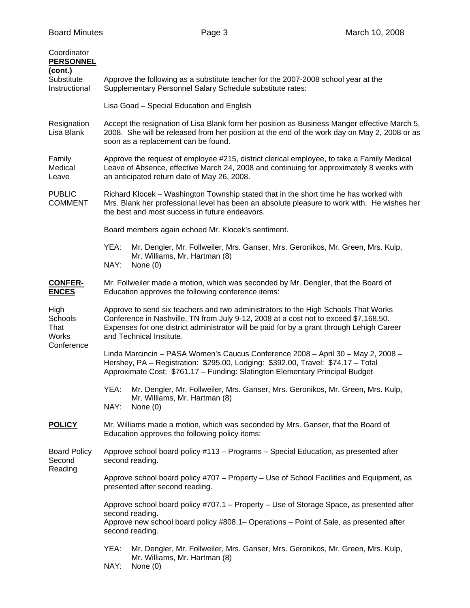| Coordinator<br><b>PERSONNEL</b>                |                                                                                                                                                                                                                                                                                                     |
|------------------------------------------------|-----------------------------------------------------------------------------------------------------------------------------------------------------------------------------------------------------------------------------------------------------------------------------------------------------|
| (cont.)<br>Substitute<br>Instructional         | Approve the following as a substitute teacher for the 2007-2008 school year at the<br>Supplementary Personnel Salary Schedule substitute rates:                                                                                                                                                     |
|                                                | Lisa Goad - Special Education and English                                                                                                                                                                                                                                                           |
| Resignation<br>Lisa Blank                      | Accept the resignation of Lisa Blank form her position as Business Manger effective March 5,<br>2008. She will be released from her position at the end of the work day on May 2, 2008 or as<br>soon as a replacement can be found.                                                                 |
| Family<br>Medical<br>Leave                     | Approve the request of employee #215, district clerical employee, to take a Family Medical<br>Leave of Absence, effective March 24, 2008 and continuing for approximately 8 weeks with<br>an anticipated return date of May 26, 2008.                                                               |
| <b>PUBLIC</b><br><b>COMMENT</b>                | Richard Klocek – Washington Township stated that in the short time he has worked with<br>Mrs. Blank her professional level has been an absolute pleasure to work with. He wishes her<br>the best and most success in future endeavors.                                                              |
|                                                | Board members again echoed Mr. Klocek's sentiment.                                                                                                                                                                                                                                                  |
|                                                | YEA:<br>Mr. Dengler, Mr. Follweiler, Mrs. Ganser, Mrs. Geronikos, Mr. Green, Mrs. Kulp,<br>Mr. Williams, Mr. Hartman (8)<br>NAY:<br>None $(0)$                                                                                                                                                      |
| <b>CONFER-</b><br><b>ENCES</b>                 | Mr. Follweiler made a motion, which was seconded by Mr. Dengler, that the Board of<br>Education approves the following conference items:                                                                                                                                                            |
| High<br>Schools<br>That<br>Works<br>Conference | Approve to send six teachers and two administrators to the High Schools That Works<br>Conference in Nashville, TN from July 9-12, 2008 at a cost not to exceed \$7,168.50.<br>Expenses for one district administrator will be paid for by a grant through Lehigh Career<br>and Technical Institute. |
|                                                | Linda Marcincin - PASA Women's Caucus Conference 2008 - April 30 - May 2, 2008 -<br>Hershey, PA - Registration: \$295.00, Lodging: \$392.00, Travel: \$74.17 - Total<br>Approximate Cost: \$761.17 - Funding: Slatington Elementary Principal Budget                                                |
|                                                | YEA:<br>Mr. Dengler, Mr. Follweiler, Mrs. Ganser, Mrs. Geronikos, Mr. Green, Mrs. Kulp,<br>Mr. Williams, Mr. Hartman (8)<br>NAY:<br>None $(0)$                                                                                                                                                      |
| <b>POLICY</b>                                  | Mr. Williams made a motion, which was seconded by Mrs. Ganser, that the Board of<br>Education approves the following policy items:                                                                                                                                                                  |
| <b>Board Policy</b><br>Second<br>Reading       | Approve school board policy #113 - Programs - Special Education, as presented after<br>second reading.                                                                                                                                                                                              |
|                                                | Approve school board policy #707 – Property – Use of School Facilities and Equipment, as<br>presented after second reading.                                                                                                                                                                         |
|                                                | Approve school board policy #707.1 - Property - Use of Storage Space, as presented after<br>second reading.<br>Approve new school board policy #808.1– Operations – Point of Sale, as presented after<br>second reading.                                                                            |
|                                                | Mr. Dengler, Mr. Follweiler, Mrs. Ganser, Mrs. Geronikos, Mr. Green, Mrs. Kulp,<br>YEA:<br>Mr. Williams, Mr. Hartman (8)<br>NAY:<br>None $(0)$                                                                                                                                                      |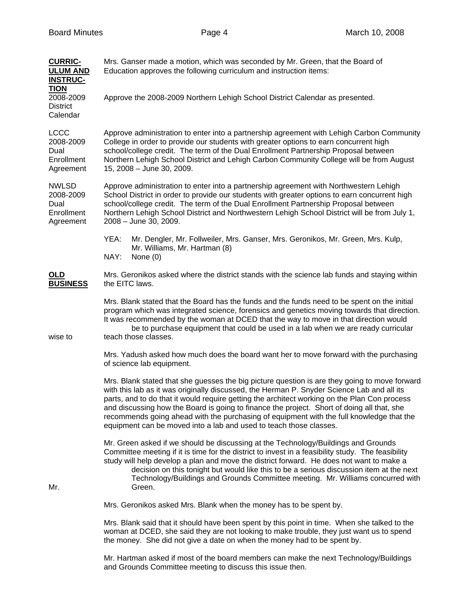| <b>CURRIC-</b><br><b>ULUM AND</b><br><b>INSTRUC-</b><br><b>TION</b><br>2008-2009 | Mrs. Ganser made a motion, which was seconded by Mr. Green, that the Board of<br>Education approves the following curriculum and instruction items:<br>Approve the 2008-2009 Northern Lehigh School District Calendar as presented.                                                                                                                                                                                                                                                                                                                         |
|----------------------------------------------------------------------------------|-------------------------------------------------------------------------------------------------------------------------------------------------------------------------------------------------------------------------------------------------------------------------------------------------------------------------------------------------------------------------------------------------------------------------------------------------------------------------------------------------------------------------------------------------------------|
| <b>District</b><br>Calendar                                                      |                                                                                                                                                                                                                                                                                                                                                                                                                                                                                                                                                             |
| <b>LCCC</b><br>2008-2009<br>Dual<br>Enrollment<br>Agreement                      | Approve administration to enter into a partnership agreement with Lehigh Carbon Community<br>College in order to provide our students with greater options to earn concurrent high<br>school/college credit. The term of the Dual Enrollment Partnership Proposal between<br>Northern Lehigh School District and Lehigh Carbon Community College will be from August<br>15, 2008 - June 30, 2009.                                                                                                                                                           |
| <b>NWLSD</b><br>2008-2009<br>Dual<br>Enrollment<br>Agreement                     | Approve administration to enter into a partnership agreement with Northwestern Lehigh<br>School District in order to provide our students with greater options to earn concurrent high<br>school/college credit. The term of the Dual Enrollment Partnership Proposal between<br>Northern Lehigh School District and Northwestern Lehigh School District will be from July 1,<br>2008 - June 30, 2009.                                                                                                                                                      |
|                                                                                  | YEA:<br>Mr. Dengler, Mr. Follweiler, Mrs. Ganser, Mrs. Geronikos, Mr. Green, Mrs. Kulp,<br>Mr. Williams, Mr. Hartman (8)<br>NAY:<br>None $(0)$                                                                                                                                                                                                                                                                                                                                                                                                              |
| OLD<br><b>BUSINESS</b>                                                           | Mrs. Geronikos asked where the district stands with the science lab funds and staying within<br>the EITC laws.                                                                                                                                                                                                                                                                                                                                                                                                                                              |
| wise to                                                                          | Mrs. Blank stated that the Board has the funds and the funds need to be spent on the initial<br>program which was integrated science, forensics and genetics moving towards that direction.<br>It was recommended by the woman at DCED that the way to move in that direction would<br>be to purchase equipment that could be used in a lab when we are ready curricular<br>teach those classes.                                                                                                                                                            |
|                                                                                  | Mrs. Yadush asked how much does the board want her to move forward with the purchasing<br>of science lab equipment.                                                                                                                                                                                                                                                                                                                                                                                                                                         |
|                                                                                  | Mrs. Blank stated that she guesses the big picture question is are they going to move forward<br>with this lab as it was originally discussed, the Herman P. Snyder Science Lab and all its<br>parts, and to do that it would require getting the architect working on the Plan Con process<br>and discussing how the Board is going to finance the project. Short of doing all that, she<br>recommends going ahead with the purchasing of equipment with the full knowledge that the<br>equipment can be moved into a lab and used to teach those classes. |
| Mr.                                                                              | Mr. Green asked if we should be discussing at the Technology/Buildings and Grounds<br>Committee meeting if it is time for the district to invest in a feasibility study. The feasibility<br>study will help develop a plan and move the district forward. He does not want to make a<br>decision on this tonight but would like this to be a serious discussion item at the next<br>Technology/Buildings and Grounds Committee meeting. Mr. Williams concurred with<br>Green.                                                                               |
|                                                                                  | Mrs. Geronikos asked Mrs. Blank when the money has to be spent by.                                                                                                                                                                                                                                                                                                                                                                                                                                                                                          |
|                                                                                  | Mrs. Blank said that it should have been spent by this point in time. When she talked to the<br>woman at DCED, she said they are not looking to make trouble, they just want us to spend<br>the money. She did not give a date on when the money had to be spent by.                                                                                                                                                                                                                                                                                        |

 Mr. Hartman asked if most of the board members can make the next Technology/Buildings and Grounds Committee meeting to discuss this issue then.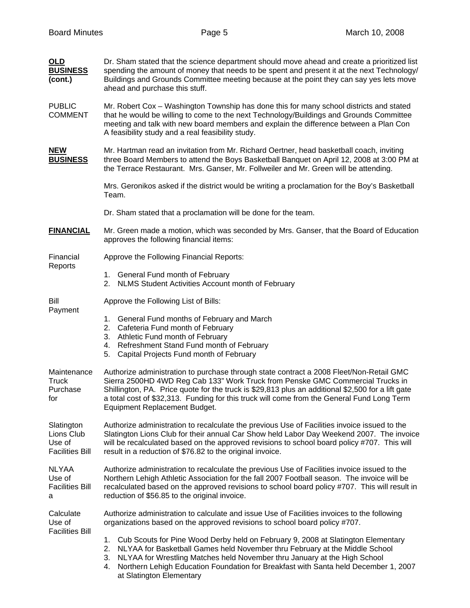| <b>OLD</b><br><b>BUSINESS</b><br>(cont.)                     | Dr. Sham stated that the science department should move ahead and create a prioritized list<br>spending the amount of money that needs to be spent and present it at the next Technology/<br>Buildings and Grounds Committee meeting because at the point they can say yes lets move<br>ahead and purchase this stuff.                                                                                               |
|--------------------------------------------------------------|----------------------------------------------------------------------------------------------------------------------------------------------------------------------------------------------------------------------------------------------------------------------------------------------------------------------------------------------------------------------------------------------------------------------|
| <b>PUBLIC</b><br><b>COMMENT</b>                              | Mr. Robert Cox – Washington Township has done this for many school districts and stated<br>that he would be willing to come to the next Technology/Buildings and Grounds Committee<br>meeting and talk with new board members and explain the difference between a Plan Con<br>A feasibility study and a real feasibility study.                                                                                     |
| <b>NEW</b><br><b>BUSINESS</b>                                | Mr. Hartman read an invitation from Mr. Richard Oertner, head basketball coach, inviting<br>three Board Members to attend the Boys Basketball Banquet on April 12, 2008 at 3:00 PM at<br>the Terrace Restaurant. Mrs. Ganser, Mr. Follweiler and Mr. Green will be attending.                                                                                                                                        |
|                                                              | Mrs. Geronikos asked if the district would be writing a proclamation for the Boy's Basketball<br>Team.                                                                                                                                                                                                                                                                                                               |
|                                                              | Dr. Sham stated that a proclamation will be done for the team.                                                                                                                                                                                                                                                                                                                                                       |
| <b>FINANCIAL</b>                                             | Mr. Green made a motion, which was seconded by Mrs. Ganser, that the Board of Education<br>approves the following financial items:                                                                                                                                                                                                                                                                                   |
| Financial<br>Reports                                         | Approve the Following Financial Reports:                                                                                                                                                                                                                                                                                                                                                                             |
|                                                              | 1. General Fund month of February<br>2. NLMS Student Activities Account month of February                                                                                                                                                                                                                                                                                                                            |
| Bill                                                         | Approve the Following List of Bills:                                                                                                                                                                                                                                                                                                                                                                                 |
| Payment                                                      | 1. General Fund months of February and March<br>2. Cafeteria Fund month of February<br>3. Athletic Fund month of February<br>4. Refreshment Stand Fund month of February<br>5. Capital Projects Fund month of February                                                                                                                                                                                               |
| Maintenance<br><b>Truck</b><br>Purchase<br>for               | Authorize administration to purchase through state contract a 2008 Fleet/Non-Retail GMC<br>Sierra 2500HD 4WD Reg Cab 133" Work Truck from Penske GMC Commercial Trucks in<br>Shillington, PA. Price quote for the truck is \$29,813 plus an additional \$2,500 for a lift gate<br>a total cost of \$32,313. Funding for this truck will come from the General Fund Long Term<br><b>Equipment Replacement Budget.</b> |
| Slatington<br>Lions Club<br>Use of<br><b>Facilities Bill</b> | Authorize administration to recalculate the previous Use of Facilities invoice issued to the<br>Slatington Lions Club for their annual Car Show held Labor Day Weekend 2007. The invoice<br>will be recalculated based on the approved revisions to school board policy #707. This will<br>result in a reduction of \$76.82 to the original invoice.                                                                 |
| <b>NLYAA</b><br>Use of<br><b>Facilities Bill</b><br>a        | Authorize administration to recalculate the previous Use of Facilities invoice issued to the<br>Northern Lehigh Athletic Association for the fall 2007 Football season. The invoice will be<br>recalculated based on the approved revisions to school board policy #707. This will result in<br>reduction of \$56.85 to the original invoice.                                                                        |
| Calculate<br>Use of<br><b>Facilities Bill</b>                | Authorize administration to calculate and issue Use of Facilities invoices to the following<br>organizations based on the approved revisions to school board policy #707.                                                                                                                                                                                                                                            |
|                                                              | Cub Scouts for Pine Wood Derby held on February 9, 2008 at Slatington Elementary<br>1.<br>NLYAA for Basketball Games held November thru February at the Middle School<br>2.<br>NLYAA for Wrestling Matches held November thru January at the High School<br>3.<br>Northern Lehigh Education Foundation for Breakfast with Santa held December 1, 2007<br>4.                                                          |

at Slatington Elementary